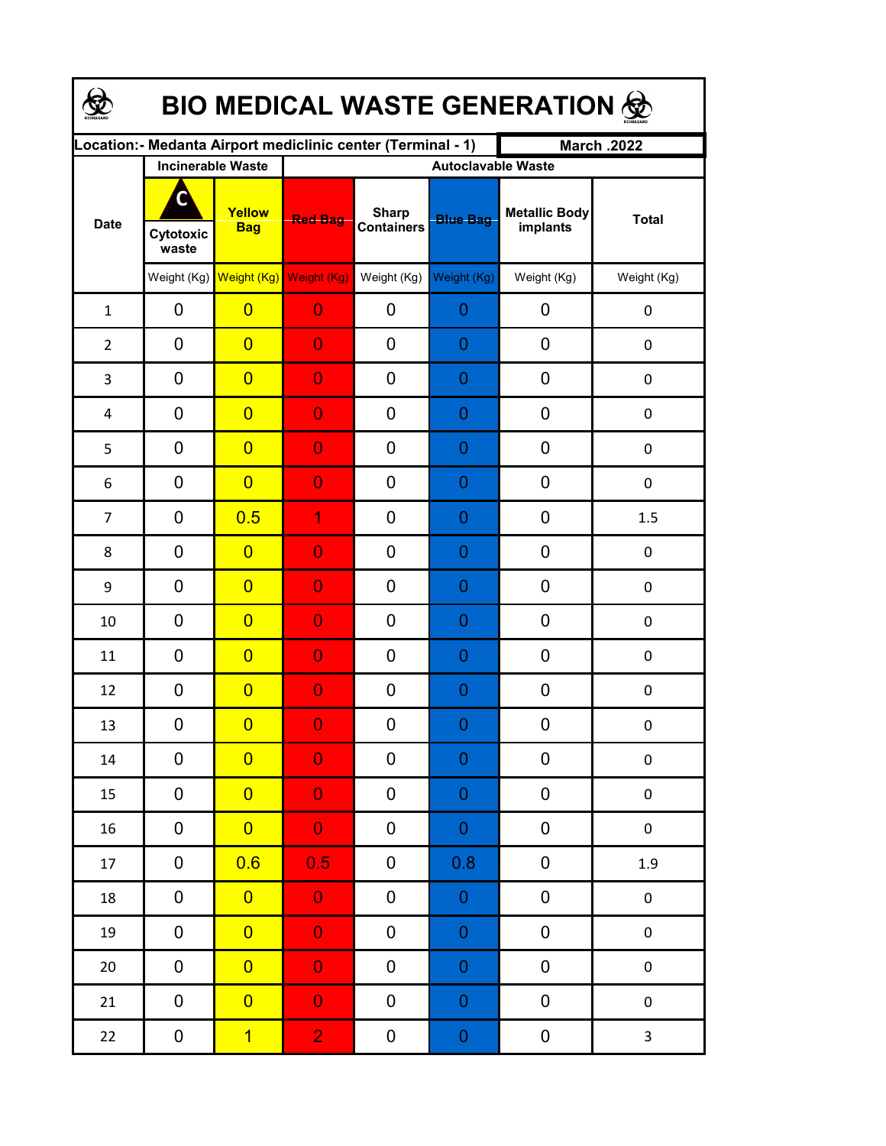| <b>BIO MEDICAL WASTE GENERATION 金</b> |                         |                                     |                                                             |                                   |                  |                                  |                  |  |  |  |
|---------------------------------------|-------------------------|-------------------------------------|-------------------------------------------------------------|-----------------------------------|------------------|----------------------------------|------------------|--|--|--|
|                                       |                         |                                     | Location:- Medanta Airport mediclinic center (Terminal - 1) |                                   |                  | <b>March .2022</b>               |                  |  |  |  |
| <b>Date</b>                           |                         | <b>Incinerable Waste</b>            |                                                             | <b>Autoclavable Waste</b>         |                  |                                  |                  |  |  |  |
|                                       | C<br>Cytotoxic<br>waste | Yellow<br><b>Bag</b>                | <b>Red Bag</b>                                              | <b>Sharp</b><br><b>Containers</b> | <b>Blue Bag</b>  | <b>Metallic Body</b><br>implants | <b>Total</b>     |  |  |  |
|                                       |                         | Weight (Kg) Weight (Kg) Weight (Kg) |                                                             | Weight (Kg)                       | Weight (Kg)      | Weight (Kg)                      | Weight (Kg)      |  |  |  |
| $\mathbf{1}$                          | 0                       | $\overline{0}$                      | $\overline{0}$                                              | 0                                 | 0                | 0                                | 0                |  |  |  |
| $\overline{2}$                        | 0                       | $\overline{0}$                      | $\overline{0}$                                              | 0                                 | 0                | 0                                | 0                |  |  |  |
| 3                                     | 0                       | $\overline{0}$                      | $\overline{0}$                                              | 0                                 | 0                | 0                                | $\boldsymbol{0}$ |  |  |  |
| 4                                     | 0                       | $\overline{0}$                      | $\overline{0}$                                              | 0                                 | 0                | 0                                | $\boldsymbol{0}$ |  |  |  |
| 5                                     | 0                       | $\overline{0}$                      | $\overline{0}$                                              | 0                                 | 0                | 0                                | $\boldsymbol{0}$ |  |  |  |
| 6                                     | 0                       | $\overline{0}$                      | $\overline{0}$                                              | 0                                 | 0                | 0                                | $\mathbf 0$      |  |  |  |
| $\overline{7}$                        | 0                       | 0.5                                 | 1                                                           | 0                                 | 0                | 0                                | 1.5              |  |  |  |
| 8                                     | 0                       | $\overline{0}$                      | $\overline{0}$                                              | 0                                 | 0                | 0                                | 0                |  |  |  |
| 9                                     | 0                       | $\overline{0}$                      | $\overline{0}$                                              | 0                                 | 0                | 0                                | 0                |  |  |  |
| 10                                    | 0                       | $\overline{0}$                      | $\overline{0}$                                              | 0                                 | 0                | 0                                | 0                |  |  |  |
| 11                                    | 0                       | $\overline{0}$                      | $\overline{0}$                                              | 0                                 | 0                | 0                                | 0                |  |  |  |
| 12                                    | 0                       | $\overline{0}$                      | $\overline{0}$                                              | 0                                 | 0                | 0                                | $\boldsymbol{0}$ |  |  |  |
| 13                                    | 0                       | $\overline{\mathbf{0}}$             | $\Omega$                                                    | 0                                 | $\Omega$         | 0                                | 0                |  |  |  |
| 14                                    | 0                       | $\overline{0}$                      | $\overline{0}$                                              | 0                                 | 0                | 0                                | $\pmb{0}$        |  |  |  |
| 15                                    | 0                       | $\overline{0}$                      | $\overline{0}$                                              | 0                                 | $\mathbf 0$      | 0                                | $\pmb{0}$        |  |  |  |
| 16                                    | 0                       | $\overline{0}$                      | $\overline{0}$                                              | 0                                 | $\mathbf 0$      | 0                                | $\pmb{0}$        |  |  |  |
| 17                                    | 0                       | 0.6                                 | 0.5                                                         | $\pmb{0}$                         | 0.8              | $\pmb{0}$                        | 1.9              |  |  |  |
| 18                                    | 0                       | $\overline{0}$                      | $\overline{0}$                                              | 0                                 | $\boldsymbol{0}$ | $\pmb{0}$                        | $\pmb{0}$        |  |  |  |
| 19                                    | 0                       | $\overline{0}$                      | $\overline{0}$                                              | 0                                 | $\mathbf 0$      | $\pmb{0}$                        | $\pmb{0}$        |  |  |  |
| $20\,$                                | 0                       | $\overline{0}$                      | $\overline{0}$                                              | 0                                 | $\mathbf 0$      | 0                                | $\pmb{0}$        |  |  |  |
| 21                                    | 0                       | $\overline{0}$                      | $\overline{0}$                                              | 0                                 | $\mathbf 0$      | 0                                | $\pmb{0}$        |  |  |  |
| 22                                    | 0                       | $\overline{1}$                      | $\overline{2}$                                              | 0                                 | $\pmb{0}$        | $\boldsymbol{0}$                 | $\mathbf{3}$     |  |  |  |